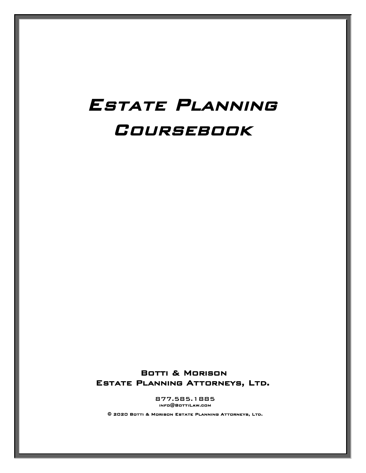# Estate Planning **COURSEBOOK**

Botti & Morison Estate Planning Attorneys, Ltd.

> 877.585.1885 info@BottiLaw.com

© 2020 Botti & Morison Estate Planning Attorneys, Ltd.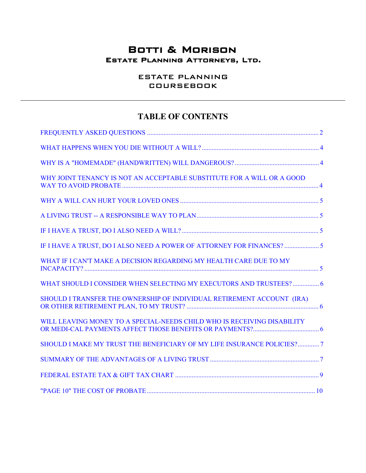## Botti & Morison Estate Planning Attorneys, Ltd.

ESTATE PLANNING COURSEBOOK

## **TABLE OF CONTENTS**

| WHY JOINT TENANCY IS NOT AN ACCEPTABLE SUBSTITUTE FOR A WILL OR A GOOD  |  |
|-------------------------------------------------------------------------|--|
|                                                                         |  |
|                                                                         |  |
|                                                                         |  |
| IF I HAVE A TRUST, DO I ALSO NEED A POWER OF ATTORNEY FOR FINANCES?     |  |
| WHAT IF I CAN'T MAKE A DECISION REGARDING MY HEALTH CARE DUE TO MY      |  |
| WHAT SHOULD I CONSIDER WHEN SELECTING MY EXECUTORS AND TRUSTEES?  6     |  |
| SHOULD I TRANSFER THE OWNERSHIP OF INDIVIDUAL RETIREMENT ACCOUNT (IRA)  |  |
| WILL LEAVING MONEY TO A SPECIAL-NEEDS CHILD WHO IS RECEIVING DISABILITY |  |
| SHOULD I MAKE MY TRUST THE BENEFICIARY OF MY LIFE INSURANCE POLICIES?7  |  |
|                                                                         |  |
|                                                                         |  |
|                                                                         |  |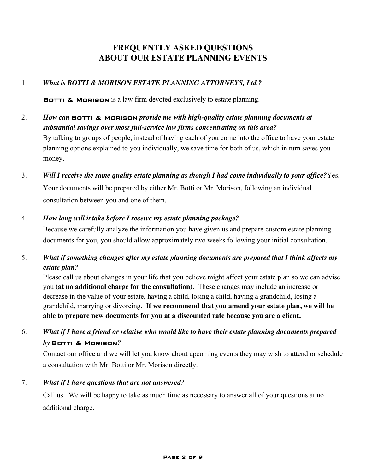## **FREQUENTLY ASKED QUESTIONS ABOUT OUR ESTATE PLANNING EVENTS**

#### <span id="page-2-0"></span>1. *What is BOTTI & MORISON ESTATE PLANNING ATTORNEYS, Ltd.?*

BOTTI & MORISON is a law firm devoted exclusively to estate planning.

- 2. *How can* Botti & Morison *provide me with high-quality estate planning documents at substantial savings over most full-service law firms concentrating on this area?* By talking to groups of people, instead of having each of you come into the office to have your estate planning options explained to you individually, we save time for both of us, which in turn saves you money.
- 3. *Will I receive the same quality estate planning as though I had come individually to your office?*Yes. Your documents will be prepared by either Mr. Botti or Mr. Morison, following an individual consultation between you and one of them.

#### 4. *How long will it take before I receive my estate planning package?*

Because we carefully analyze the information you have given us and prepare custom estate planning documents for you, you should allow approximately two weeks following your initial consultation.

5. *What if something changes after my estate planning documents are prepared that I think affects my estate plan?*

Please call us about changes in your life that you believe might affect your estate plan so we can advise you **(at no additional charge for the consultation)**. These changes may include an increase or decrease in the value of your estate, having a child, losing a child, having a grandchild, losing a grandchild, marrying or divorcing. **If we recommend that you amend your estate plan, we will be able to prepare new documents for you at a discounted rate because you are a client.**

## 6. *What if I have a friend or relative who would like to have their estate planning documents prepared by* Botti & Morison*?*

Contact our office and we will let you know about upcoming events they may wish to attend or schedule a consultation with Mr. Botti or Mr. Morison directly.

#### 7. *What if I have questions that are not answered?*

Call us. We will be happy to take as much time as necessary to answer all of your questions at no additional charge.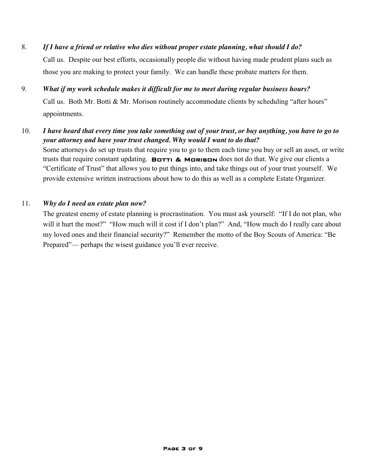# 8. *If I have a friend or relative who dies without proper estate planning, what should I do?* Call us. Despite our best efforts, occasionally people die without having made prudent plans such as those you are making to protect your family. We can handle these probate matters for them.

## 9. *What if my work schedule makes it difficult for me to meet during regular business hours?*

Call us. Both Mr. Botti & Mr. Morison routinely accommodate clients by scheduling "after hours" appointments.

#### 10. *I have heard that every time you take something out of your trust, or buy anything, you have to go to your attorney and have your trust changed. Why would I want to do that?*

Some attorneys do set up trusts that require you to go to them each time you buy or sell an asset, or write trusts that require constant updating. **BOTTI & MORISON** does not do that. We give our clients a "Certificate of Trust" that allows you to put things into, and take things out of your trust yourself. We provide extensive written instructions about how to do this as well as a complete Estate Organizer.

#### 11. *Why do I need an estate plan now?*

The greatest enemy of estate planning is procrastination. You must ask yourself: "If I do not plan, who will it hurt the most?" "How much will it cost if I don't plan?" And, "How much do I really care about my loved ones and their financial security?" Remember the motto of the Boy Scouts of America: "Be Prepared"— perhaps the wisest guidance you'll ever receive.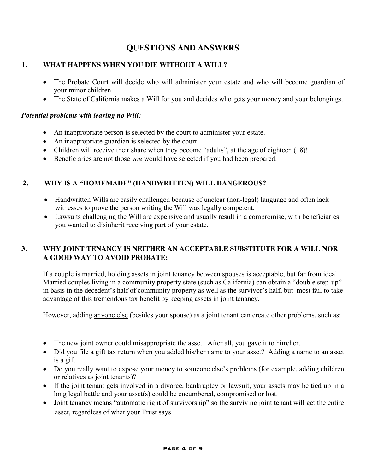## **QUESTIONS AND ANSWERS**

#### <span id="page-4-0"></span>**1. WHAT HAPPENS WHEN YOU DIE WITHOUT A WILL?**

- The Probate Court will decide who will administer your estate and who will become guardian of your minor children.
- The State of California makes a Will for you and decides who gets your money and your belongings.

#### *Potential problems with leaving no Will:*

- An inappropriate person is selected by the court to administer your estate.
- An inappropriate guardian is selected by the court.
- Children will receive their share when they become "adults", at the age of eighteen (18)!
- Beneficiaries are not those *you* would have selected if you had been prepared.

#### **2. WHY IS A "HOMEMADE" (HANDWRITTEN) WILL DANGEROUS?**

- Handwritten Wills are easily challenged because of unclear (non-legal) language and often lack witnesses to prove the person writing the Will was legally competent.
- Lawsuits challenging the Will are expensive and usually result in a compromise, with beneficiaries you wanted to disinherit receiving part of your estate.

## **3. WHY JOINT TENANCY IS NEITHER AN ACCEPTABLE SUBSTITUTE FOR A WILL NOR A GOOD WAY TO AVOID PROBATE:**

If a couple is married, holding assets in joint tenancy between spouses is acceptable, but far from ideal. Married couples living in a community property state (such as California) can obtain a "double step-up" in basis in the decedent's half of community property as well as the survivor's half, but most fail to take advantage of this tremendous tax benefit by keeping assets in joint tenancy.

However, adding anyone else (besides your spouse) as a joint tenant can create other problems, such as:

- $\bullet$  The new joint owner could misappropriate the asset. After all, you gave it to him/her.
- Did you file a gift tax return when you added his/her name to your asset? Adding a name to an asset is a gift.
- Do you really want to expose your money to someone else's problems (for example, adding children or relatives as joint tenants)?
- If the joint tenant gets involved in a divorce, bankruptcy or lawsuit, your assets may be tied up in a long legal battle and your asset(s) could be encumbered, compromised or lost.
- Joint tenancy means "automatic right of survivorship" so the surviving joint tenant will get the entire asset, regardless of what your Trust says.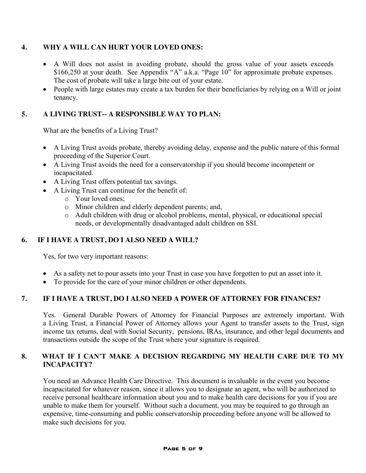#### <span id="page-5-0"></span>**4. WHY A WILL CAN HURT YOUR LOVED ONES:**

- A Will does not assist in avoiding probate, should the gross value of your assets exceeds \$166,250 at your death. See Appendix "A" a.k.a. "Page 10" for approximate probate expenses. The cost of probate will take a large bite out of your estate.
- People with large estates may create a tax burden for their beneficiaries by relying on a Will or joint tenancy.

#### **5. A LIVING TRUST-- A RESPONSIBLE WAY TO PLAN:**

What are the benefits of a Living Trust?

- A Living Trust avoids probate, thereby avoiding delay, expense and the public nature of this formal proceeding of the Superior Court.
- A Living Trust avoids the need for a conservatorship if you should become incompetent or incapacitated.
- A Living Trust offers potential tax savings.
- A Living Trust can continue for the benefit of:
	- o Your loved ones;
	- o Minor children and elderly dependent parents; and,
	- o Adult children with drug or alcohol problems, mental, physical, or educational special needs, or developmentally disadvantaged adult children on SSI.

#### **6. IF I HAVE A TRUST, DO I ALSO NEED A WILL?**

Yes, for two very important reasons:

- As a safety net to pour assets into your Trust in case you have forgotten to put an asset into it.
- To provide for the care of your minor children or other dependents.

#### **7. IF I HAVE A TRUST, DO I ALSO NEED A POWER OF ATTORNEY FOR FINANCES?**

Yes. General Durable Powers of Attorney for Financial Purposes are extremely important. With a Living Trust, a Financial Power of Attorney allows your Agent to transfer assets to the Trust, sign income tax returns, deal with Social Security, pensions, IRAs, insurance, and other legal documents and transactions outside the scope of the Trust where your signature is required.

#### **8. WHAT IF I CAN'T MAKE A DECISION REGARDING MY HEALTH CARE DUE TO MY INCAPACITY?**

You need an Advance Health Care Directive. This document is invaluable in the event you become incapacitated for whatever reason, since it allows you to designate an agent, who will be authorized to receive personal healthcare information about you and to make health care decisions for you if you are unable to make them for yourself. Without such a document, you may be required to go through an expensive, time-consuming and public conservatorship proceeding before anyone will be allowed to make such decisions for you.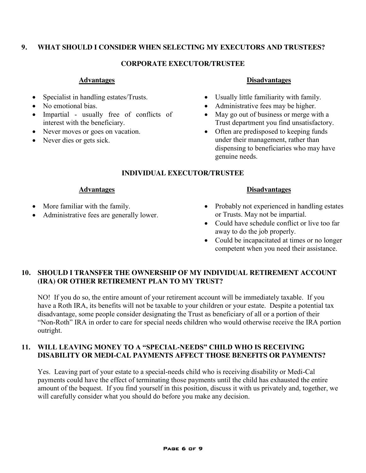#### <span id="page-6-0"></span>**9. WHAT SHOULD I CONSIDER WHEN SELECTING MY EXECUTORS AND TRUSTEES?**

#### **CORPORATE EXECUTOR/TRUSTEE**

#### **Advantages**

- Specialist in handling estates/Trusts.
- No emotional bias.
- Impartial usually free of conflicts of interest with the beneficiary.
- Never moves or goes on vacation.
- Never dies or gets sick.

#### **Disadvantages**

- Usually little familiarity with family.
- Administrative fees may be higher.
- $\bullet$  May go out of business or merge with a Trust department you find unsatisfactory.
- Often are predisposed to keeping funds under their management, rather than dispensing to beneficiaries who may have genuine needs.

#### **INDIVIDUAL EXECUTOR/TRUSTEE**

#### **Advantages**

- More familiar with the family.
- Administrative fees are generally lower.

## **Disadvantages**

- Probably not experienced in handling estates or Trusts. May not be impartial.
- Could have schedule conflict or live too far away to do the job properly.
- Could be incapacitated at times or no longer competent when you need their assistance.

## **10. SHOULD I TRANSFER THE OWNERSHIP OF MY INDIVIDUAL RETIREMENT ACCOUNT (IRA) OR OTHER RETIREMENT PLAN TO MY TRUST?**

NO! If you do so, the entire amount of your retirement account will be immediately taxable. If you have a Roth IRA, its benefits will not be taxable to your children or your estate. Despite a potential tax disadvantage, some people consider designating the Trust as beneficiary of all or a portion of their "Non-Roth" IRA in order to care for special needs children who would otherwise receive the IRA portion outright.

#### **11. WILL LEAVING MONEY TO A "SPECIAL-NEEDS" CHILD WHO IS RECEIVING DISABILITY OR MEDI-CAL PAYMENTS AFFECT THOSE BENEFITS OR PAYMENTS?**

Yes. Leaving part of your estate to a special-needs child who is receiving disability or Medi-Cal payments could have the effect of terminating those payments until the child has exhausted the entire amount of the bequest. If you find yourself in this position, discuss it with us privately and, together, we will carefully consider what you should do before you make any decision.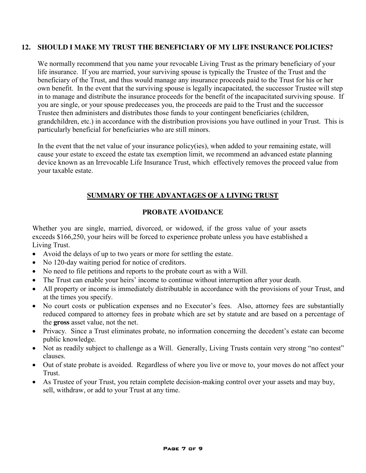#### <span id="page-7-0"></span>**12. SHOULD I MAKE MY TRUST THE BENEFICIARY OF MY LIFE INSURANCE POLICIES?**

We normally recommend that you name your revocable Living Trust as the primary beneficiary of your life insurance. If you are married, your surviving spouse is typically the Trustee of the Trust and the beneficiary of the Trust, and thus would manage any insurance proceeds paid to the Trust for his or her own benefit. In the event that the surviving spouse is legally incapacitated, the successor Trustee will step in to manage and distribute the insurance proceeds for the benefit of the incapacitated surviving spouse. If you are single, or your spouse predeceases you, the proceeds are paid to the Trust and the successor Trustee then administers and distributes those funds to your contingent beneficiaries (children, grandchildren, etc.) in accordance with the distribution provisions you have outlined in your Trust. This is particularly beneficial for beneficiaries who are still minors.

In the event that the net value of your insurance policy(ies), when added to your remaining estate, will cause your estate to exceed the estate tax exemption limit, we recommend an advanced estate planning device known as an Irrevocable Life Insurance Trust, which effectively removes the proceed value from your taxable estate.

#### **SUMMARY OF THE ADVANTAGES OF A LIVING TRUST**

#### **PROBATE AVOIDANCE**

Whether you are single, married, divorced, or widowed, if the gross value of your assets exceeds \$166,250, your heirs will be forced to experience probate unless you have established a Living Trust.

- Avoid the delays of up to two years or more for settling the estate.
- No 120-day waiting period for notice of creditors.
- No need to file petitions and reports to the probate court as with a Will.
- The Trust can enable your heirs' income to continue without interruption after your death.
- All property or income is immediately distributable in accordance with the provisions of your Trust, and at the times you specify.
- No court costs or publication expenses and no Executor's fees. Also, attorney fees are substantially reduced compared to attorney fees in probate which are set by statute and are based on a percentage of the **gross** asset value, not the net.
- Privacy. Since a Trust eliminates probate, no information concerning the decedent's estate can become public knowledge.
- Not as readily subject to challenge as a Will. Generally, Living Trusts contain very strong "no contest" clauses.
- Out of state probate is avoided. Regardless of where you live or move to, your moves do not affect your Trust.
- As Trustee of your Trust, you retain complete decision-making control over your assets and may buy, sell, withdraw, or add to your Trust at any time.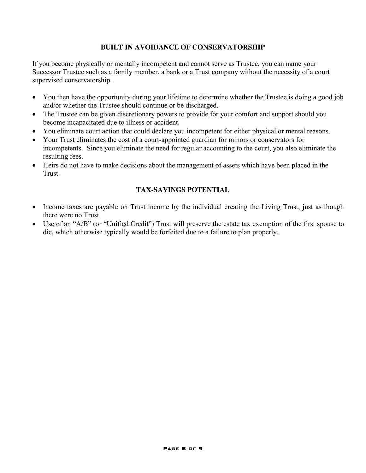#### **BUILT IN AVOIDANCE OF CONSERVATORSHIP**

If you become physically or mentally incompetent and cannot serve as Trustee, you can name your Successor Trustee such as a family member, a bank or a Trust company without the necessity of a court supervised conservatorship.

- You then have the opportunity during your lifetime to determine whether the Trustee is doing a good job and/or whether the Trustee should continue or be discharged.
- The Trustee can be given discretionary powers to provide for your comfort and support should you become incapacitated due to illness or accident.
- You eliminate court action that could declare you incompetent for either physical or mental reasons.
- x Your Trust eliminates the cost of a court-appointed guardian for minors or conservators for incompetents. Since you eliminate the need for regular accounting to the court, you also eliminate the resulting fees.
- Heirs do not have to make decisions about the management of assets which have been placed in the Trust.

#### **TAX-SAVINGS POTENTIAL**

- Income taxes are payable on Trust income by the individual creating the Living Trust, just as though there were no Trust.
- Use of an "A/B" (or "Unified Credit") Trust will preserve the estate tax exemption of the first spouse to die, which otherwise typically would be forfeited due to a failure to plan properly.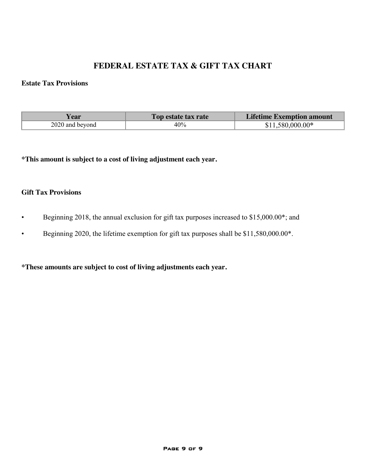## **FEDERAL ESTATE TAX & GIFT TAX CHART**

#### <span id="page-9-0"></span>**Estate Tax Provisions**

| ear             | Top estate tax rate | <b>Lifetime Exemption amount</b> |
|-----------------|---------------------|----------------------------------|
| 2020 and beyond | 40%                 | $$11.580.000.00*$                |

**\*This amount is subject to a cost of living adjustment each year.**

#### **Gift Tax Provisions**

- Beginning 2018, the annual exclusion for gift tax purposes increased to \$15,000.00\*; and
- Beginning 2020, the lifetime exemption for gift tax purposes shall be \$11,580,000.00\*.

**\*These amounts are subject to cost of living adjustments each year.**